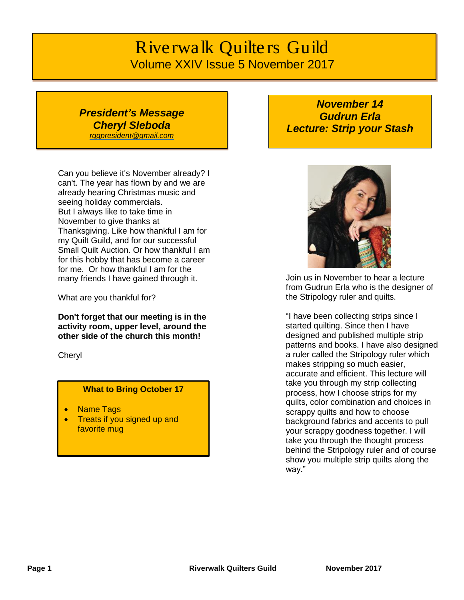# *Riverwalk Quilters Guild* Volume XXIV Issue 5 November 2017

# *President's Message Cheryl Sleboda*

*[rqgpresident@gmail.com](mailto:rqgpresident@gmail.com)*

Can you believe it's November already? I can't. The year has flown by and we are already hearing Christmas music and seeing holiday commercials. But I always like to take time in November to give thanks at Thanksgiving. Like how thankful I am for my Quilt Guild, and for our successful Small Quilt Auction. Or how thankful I am for this hobby that has become a career for me. Or how thankful I am for the many friends I have gained through it.

What are you thankful for?

**Don't forget that our meeting is in the activity room, upper level, around the other side of the church this month!**

**Cheryl** 

### **What to Bring October 17**

- **Name Tags**
- Treats if you signed up and favorite mug

*November 14 Gudrun Erla Lecture: Strip your Stash*



Join us in November to hear a lecture from Gudrun Erla who is the designer of the Stripology ruler and quilts.

"I have been collecting strips since I started quilting. Since then I have designed and published multiple strip patterns and books. I have also designed a ruler called the Stripology ruler which makes stripping so much easier, accurate and efficient. This lecture will take you through my strip collecting process, how I choose strips for my quilts, color combination and choices in scrappy quilts and how to choose background fabrics and accents to pull your scrappy goodness together. I will take you through the thought process behind the Stripology ruler and of course show you multiple strip quilts along the way."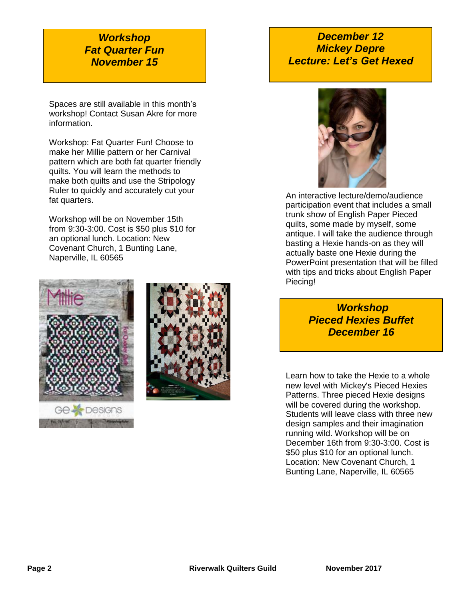# *Workshop Fat Quarter Fun November 15*

Spaces are still available in this month's workshop! Contact Susan Akre for more information.

Workshop: Fat Quarter Fun! Choose to make her Millie pattern or her Carnival pattern which are both fat quarter friendly quilts. You will learn the methods to make both quilts and use the Stripology Ruler to quickly and accurately cut your fat quarters.

Workshop will be on November 15th from 9:30-3:00. Cost is \$50 plus \$10 for an optional lunch. Location: New Covenant Church, 1 Bunting Lane, Naperville, IL 60565





# *December 12 Mickey Depre Lecture: Let's Get Hexed*



An interactive lecture/demo/audience participation event that includes a small trunk show of English Paper Pieced quilts, some made by myself, some antique. I will take the audience through basting a Hexie hands-on as they will actually baste one Hexie during the PowerPoint presentation that will be filled with tips and tricks about English Paper Piecing!

> *Workshop Pieced Hexies Buffet December 16*

Learn how to take the Hexie to a whole new level with Mickey's Pieced Hexies Patterns. Three pieced Hexie designs will be covered during the workshop. Students will leave class with three new design samples and their imagination running wild. Workshop will be on December 16th from 9:30-3:00. Cost is \$50 plus \$10 for an optional lunch. Location: New Covenant Church, 1 Bunting Lane, Naperville, IL 60565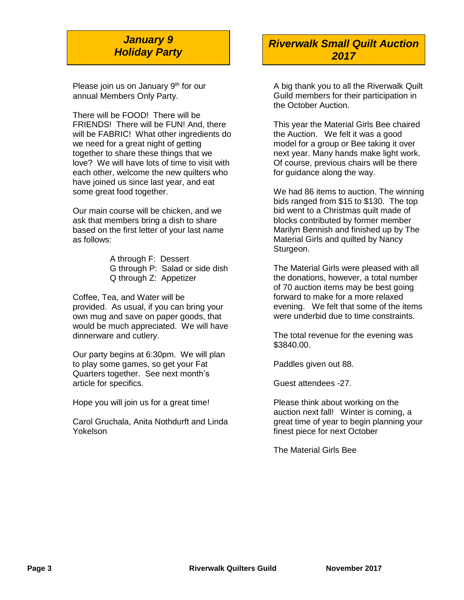# *January 9 Holiday Party*

Please join us on January  $9<sup>th</sup>$  for our annual Members Only Party.

There will be FOOD! There will be FRIENDS! There will be FUN! And, there will be FABRIC! What other ingredients do we need for a great night of getting together to share these things that we love? We will have lots of time to visit with each other, welcome the new quilters who have joined us since last year, and eat some great food together.

Our main course will be chicken, and we ask that members bring a dish to share based on the first letter of your last name as follows:

> A through F: Dessert G through P: Salad or side dish Q through Z: Appetizer

Coffee, Tea, and Water will be provided. As usual, if you can bring your own mug and save on paper goods, that would be much appreciated. We will have dinnerware and cutlery.

Our party begins at 6:30pm. We will plan to play some games, so get your Fat Quarters together. See next month's article for specifics.

Hope you will join us for a great time!

Carol Gruchala, Anita Nothdurft and Linda Yokelson

### *Riverwalk Small Quilt Auction 2017*

A big thank you to all the Riverwalk Quilt Guild members for their participation in the October Auction.

This year the Material Girls Bee chaired the Auction. We felt it was a good model for a group or Bee taking it over next year. Many hands make light work. Of course, previous chairs will be there for guidance along the way.

We had 86 items to auction. The winning bids ranged from \$15 to \$130. The top bid went to a Christmas quilt made of blocks contributed by former member Marilyn Bennish and finished up by The Material Girls and quilted by Nancy Sturgeon.

The Material Girls were pleased with all the donations, however, a total number of 70 auction items may be best going forward to make for a more relaxed evening. We felt that some of the items were underbid due to time constraints.

The total revenue for the evening was \$3840.00.

Paddles given out 88.

Guest attendees -27.

Please think about working on the auction next fall! Winter is coming, a great time of year to begin planning your finest piece for next October

The Material Girls Bee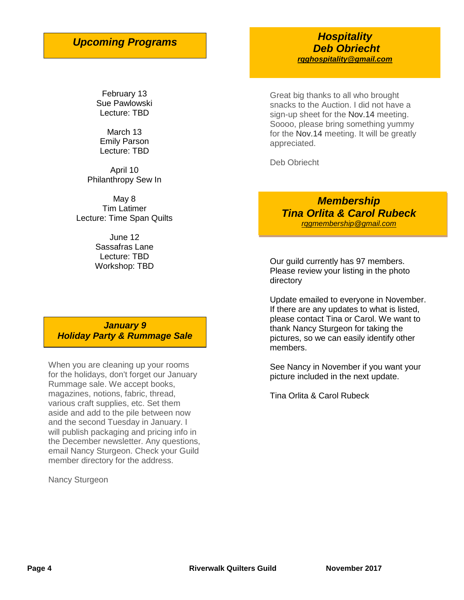# *Upcoming Programs*

February 13 Sue Pawlowski Lecture: TBD

March 13 Emily Parson Lecture: TBD

April 10 Philanthropy Sew In

May 8 Tim Latimer Lecture: Time Span Quilts

> June 12 Sassafras Lane Lecture: TBD Workshop: TBD

*January 9 Holiday Party & Rummage Sale*

When you are cleaning up your rooms for the holidays, don't forget our January Rummage sale. We accept books, magazines, notions, fabric, thread, various craft supplies, etc. Set them aside and add to the pile between now and the second Tuesday in January. I will publish packaging and pricing info in the December newsletter. Any questions, email Nancy Sturgeon. Check your Guild member directory for the address.

Nancy Sturgeon

*Hospitality Deb Obriecht [rqghospitality@gmail.com](file:///C:/Users/Sandra/Documents/RQG%20Newsletter/rqghospitality@gmail.com)*

Great big thanks to all who brought snacks to the Auction. I did not have a sign-up sheet for the Nov.14 meeting. Soooo, please bring something yummy for the Nov.14 meeting. It will be greatly appreciated.

Deb Obriecht

*Membership Tina Orlita & Carol Rubeck [rqgmembership@gmail.com](mailto:rqgmembership@gmail.com)*

Our guild currently has 97 members. Please review your listing in the photo directory

Update emailed to everyone in November. If there are any updates to what is listed, please contact Tina or Carol. We want to thank Nancy Sturgeon for taking the pictures, so we can easily identify other members.

See Nancy in November if you want your picture included in the next update.

Tina Orlita & Carol Rubeck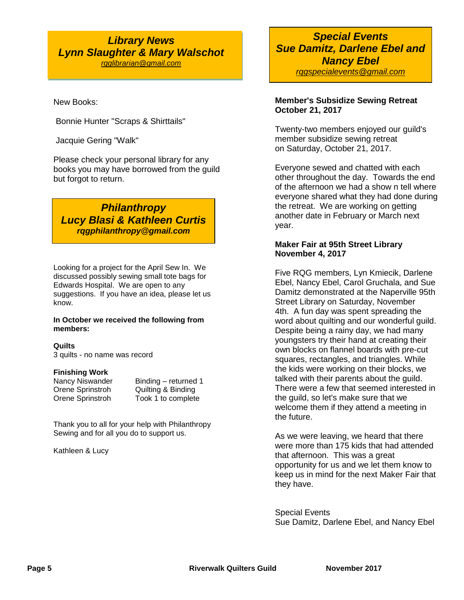### *Library News Lynn Slaughter & Mary Walschot [rqglibrarian@gmail.com](mailto:rqglibrarian@gmail.com)*

New Books:

Bonnie Hunter "Scraps & Shirttails"

Jacquie Gering "Walk"

Please check your personal library for any books you may have borrowed from the guild but forgot to return.

*Philanthropy Lucy Blasi & Kathleen Curtis rqgphilanthropy@gmail.com*

Looking for a project for the April Sew In. We discussed possibly sewing small tote bags for Edwards Hospital. We are open to any suggestions. If you have an idea, please let us know.

#### **In October we received the following from members:**

#### **Quilts**

3 quilts - no name was record

#### **Finishing Work**

Nancy Niswander Binding – returned 1 Orene Sprinstroh Quilting & Binding Orene Sprinstroh Took 1 to complete

Thank you to all for your help with Philanthropy Sewing and for all you do to support us.

Kathleen & Lucy

### *Special Events Sue Damitz, Darlene Ebel and Nancy Ebel rqgspecialevents@gmail.com*

### **Member's Subsidize Sewing Retreat October 21, 2017**

Twenty-two members enjoyed our guild's member subsidize sewing retreat on Saturday, October 21, 2017.

Everyone sewed and chatted with each other throughout the day. Towards the end of the afternoon we had a show n tell where everyone shared what they had done during the retreat. We are working on getting another date in February or March next year.

#### **Maker Fair at 95th Street Library November 4, 2017**

Five RQG members, Lyn Kmiecik, Darlene Ebel, Nancy Ebel, Carol Gruchala, and Sue Damitz demonstrated at the Naperville 95th Street Library on Saturday, November 4th. A fun day was spent spreading the word about quilting and our wonderful guild. Despite being a rainy day, we had many youngsters try their hand at creating their own blocks on flannel boards with pre-cut squares, rectangles, and triangles. While the kids were working on their blocks, we talked with their parents about the guild. There were a few that seemed interested in the guild, so let's make sure that we welcome them if they attend a meeting in the future.

As we were leaving, we heard that there were more than 175 kids that had attended that afternoon. This was a great opportunity for us and we let them know to keep us in mind for the next Maker Fair that they have.

Special Events Sue Damitz, Darlene Ebel, and Nancy Ebel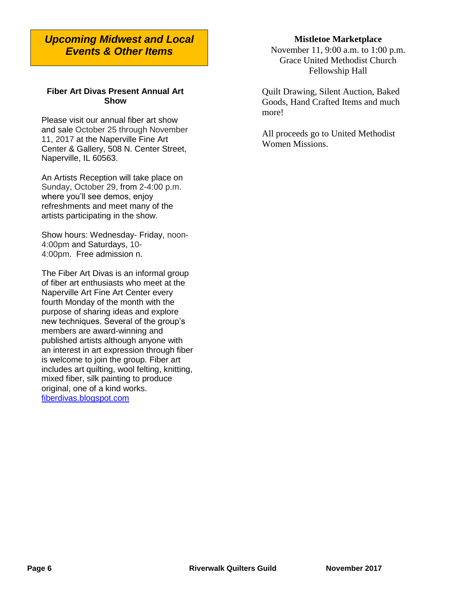### *Upcoming Midwest and Local Events & Other Items*

#### **Fiber Art Divas Present Annual Art Show**

Please visit our annual fiber art show and sale October 25 through November 11, 2017 at the Naperville Fine Art Center & Gallery, 508 N. Center Street, Naperville, IL 60563.

An Artists Reception will take place on Sunday, October 29, from 2-4:00 p.m. where you'll see demos, enjoy refreshments and meet many of the artists participating in the show.

Show hours: Wednesday- Friday, noon-4:00pm and Saturdays, 10- 4:00pm. Free admission n.

The Fiber Art Divas is an informal group of fiber art enthusiasts who meet at the Naperville Art Fine Art Center every fourth Monday of the month with the purpose of sharing ideas and explore new techniques. Several of the group's members are award-winning and published artists although anyone with an interest in art expression through fiber is welcome to join the group. Fiber art includes art quilting, wool felting, knitting, mixed fiber, silk painting to produce original, one of a kind works. [fiberdivas.blogspot.com](http://fiberdivas.blogspot.com/)

## **Mistletoe Marketplace**

November 11, 9:00 a.m. to 1:00 p.m. Grace United Methodist Church Fellowship Hall

Quilt Drawing, Silent Auction, Baked Goods, Hand Crafted Items and much more!

All proceeds go to United Methodist Women Missions.